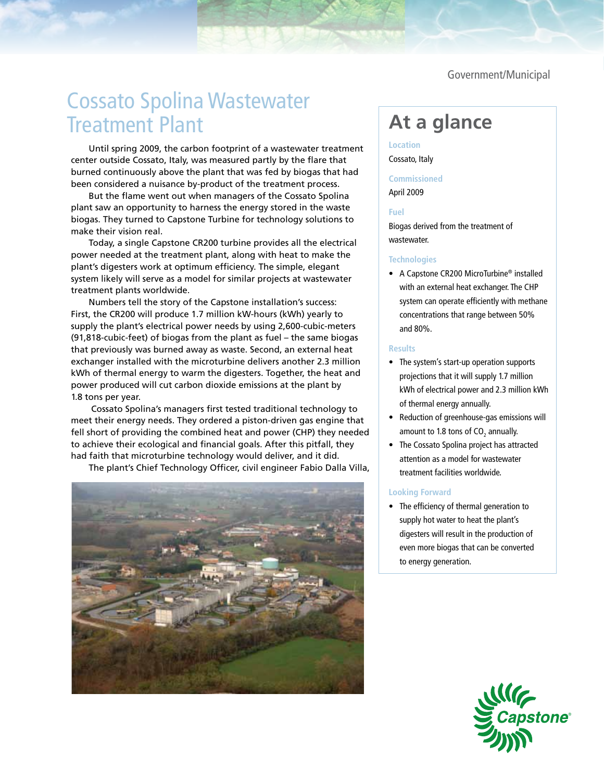Government/Municipal

# Cossato Spolina Wastewater Treatment Plant

Until spring 2009, the carbon footprint of a wastewater treatment center outside Cossato, Italy, was measured partly by the flare that burned continuously above the plant that was fed by biogas that had been considered a nuisance by-product of the treatment process.

But the flame went out when managers of the Cossato Spolina plant saw an opportunity to harness the energy stored in the waste biogas. They turned to Capstone Turbine for technology solutions to make their vision real.

Today, a single Capstone CR200 turbine provides all the electrical power needed at the treatment plant, along with heat to make the plant's digesters work at optimum efficiency. The simple, elegant system likely will serve as a model for similar projects at wastewater treatment plants worldwide.

Numbers tell the story of the Capstone installation's success: First, the CR200 will produce 1.7 million kW-hours (kWh) yearly to supply the plant's electrical power needs by using 2,600-cubic-meters (91,818-cubic-feet) of biogas from the plant as fuel – the same biogas that previously was burned away as waste. Second, an external heat exchanger installed with the microturbine delivers another 2.3 million kWh of thermal energy to warm the digesters. Together, the heat and power produced will cut carbon dioxide emissions at the plant by 1.8 tons per year.

 Cossato Spolina's managers first tested traditional technology to meet their energy needs. They ordered a piston-driven gas engine that fell short of providing the combined heat and power (CHP) they needed to achieve their ecological and financial goals. After this pitfall, they had faith that microturbine technology would deliver, and it did.

The plant's Chief Technology Officer, civil engineer Fabio Dalla Villa,



## **At a glance**

### **Location** Cossato, Italy

#### **Commissioned**

April 2009

#### **Fuel**

Biogas derived from the treatment of wastewater.

#### **Technologies**

• A Capstone CR200 MicroTurbine® installed with an external heat exchanger. The CHP system can operate efficiently with methane concentrations that range between 50% and 80%.

#### **Results**

- The system's start-up operation supports projections that it will supply 1.7 million kWh of electrical power and 2.3 million kWh of thermal energy annually.
- • Reduction of greenhouse-gas emissions will amount to 1.8 tons of CO<sub>2</sub> annually.
- The Cossato Spolina project has attracted attention as a model for wastewater treatment facilities worldwide.

#### **Looking Forward**

• The efficiency of thermal generation to supply hot water to heat the plant's digesters will result in the production of even more biogas that can be converted to energy generation.